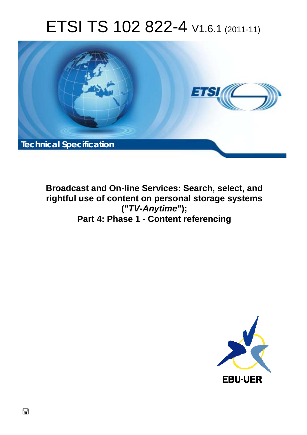# ETSI TS 102 822-4 V1.6.1 (2011-11)



**Broadcast and On-line Services: Search, select, and rightful use of content on personal storage systems ("***TV-Anytime***"); Part 4: Phase 1 - Content referencing** 

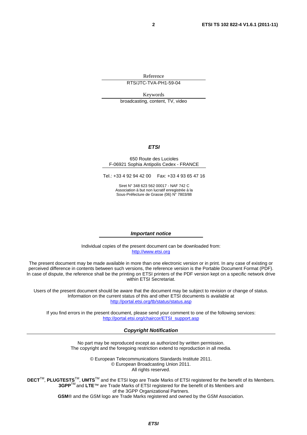Reference

RTS/JTC-TVA-PH1-59-04

Keywords

broadcasting, content, TV, video

#### *ETSI*

#### 650 Route des Lucioles F-06921 Sophia Antipolis Cedex - FRANCE

Tel.: +33 4 92 94 42 00 Fax: +33 4 93 65 47 16

Siret N° 348 623 562 00017 - NAF 742 C Association à but non lucratif enregistrée à la Sous-Préfecture de Grasse (06) N° 7803/88

#### *Important notice*

Individual copies of the present document can be downloaded from: [http://www.etsi.org](http://www.etsi.org/)

The present document may be made available in more than one electronic version or in print. In any case of existing or perceived difference in contents between such versions, the reference version is the Portable Document Format (PDF). In case of dispute, the reference shall be the printing on ETSI printers of the PDF version kept on a specific network drive within ETSI Secretariat.

Users of the present document should be aware that the document may be subject to revision or change of status. Information on the current status of this and other ETSI documents is available at <http://portal.etsi.org/tb/status/status.asp>

If you find errors in the present document, please send your comment to one of the following services: [http://portal.etsi.org/chaircor/ETSI\\_support.asp](http://portal.etsi.org/chaircor/ETSI_support.asp)

#### *Copyright Notification*

No part may be reproduced except as authorized by written permission. The copyright and the foregoing restriction extend to reproduction in all media.

> © European Telecommunications Standards Institute 2011. © European Broadcasting Union 2011. All rights reserved.

**DECT**TM, **PLUGTESTS**TM, **UMTS**TM and the ETSI logo are Trade Marks of ETSI registered for the benefit of its Members. **3GPP**TM and **LTE**™ are Trade Marks of ETSI registered for the benefit of its Members and of the 3GPP Organizational Partners. **GSM**® and the GSM logo are Trade Marks registered and owned by the GSM Association.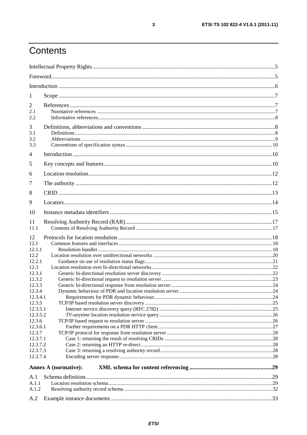## Contents

| 1                                                                                                                                                                                                                     |                             |  |
|-----------------------------------------------------------------------------------------------------------------------------------------------------------------------------------------------------------------------|-----------------------------|--|
| $\overline{2}$<br>2.1<br>2.2                                                                                                                                                                                          |                             |  |
| 3<br>3.1<br>3.2<br>3.3                                                                                                                                                                                                |                             |  |
| 4                                                                                                                                                                                                                     |                             |  |
| 5                                                                                                                                                                                                                     |                             |  |
| 6                                                                                                                                                                                                                     |                             |  |
| 7                                                                                                                                                                                                                     |                             |  |
| 8                                                                                                                                                                                                                     |                             |  |
| 9                                                                                                                                                                                                                     |                             |  |
| 10                                                                                                                                                                                                                    |                             |  |
| 11<br>11.1                                                                                                                                                                                                            |                             |  |
| 12<br>12.1<br>12.1.1<br>12.2.<br>12.2.1<br>12.3<br>12.3.1<br>12.3.2<br>12.3.3<br>12.3.4<br>12.3.4.1<br>12.3.5<br>12.3.5.1<br>12.3.5.2<br>12.3.6<br>12.3.6.1<br>12.3.7<br>12.3.7.1<br>12.3.7.2<br>12.3.7.3<br>12.3.7.4 |                             |  |
|                                                                                                                                                                                                                       | <b>Annex A (normative):</b> |  |
| A.1                                                                                                                                                                                                                   |                             |  |
| A.1.1<br>A.1.2                                                                                                                                                                                                        |                             |  |
| A.2                                                                                                                                                                                                                   |                             |  |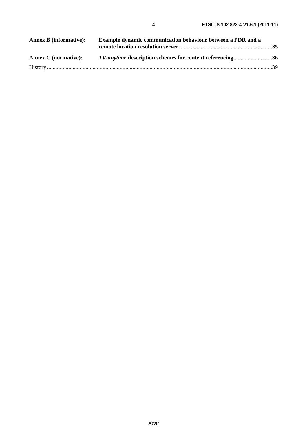| <b>Annex B</b> (informative): | Example dynamic communication behaviour between a PDR and a     |  |
|-------------------------------|-----------------------------------------------------------------|--|
| <b>Annex C</b> (normative):   | <i>TV-anytime</i> description schemes for content referencing36 |  |
|                               |                                                                 |  |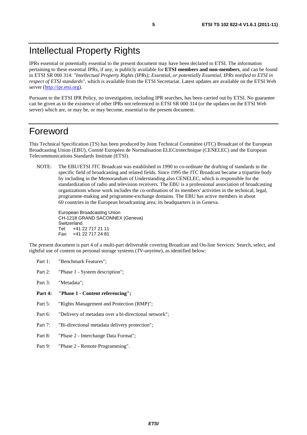## Intellectual Property Rights

IPRs essential or potentially essential to the present document may have been declared to ETSI. The information pertaining to these essential IPRs, if any, is publicly available for **ETSI members and non-members**, and can be found in ETSI SR 000 314: *"Intellectual Property Rights (IPRs); Essential, or potentially Essential, IPRs notified to ETSI in respect of ETSI standards"*, which is available from the ETSI Secretariat. Latest updates are available on the ETSI Web server [\(http://ipr.etsi.org](http://webapp.etsi.org/IPR/home.asp)).

Pursuant to the ETSI IPR Policy, no investigation, including IPR searches, has been carried out by ETSI. No guarantee can be given as to the existence of other IPRs not referenced in ETSI SR 000 314 (or the updates on the ETSI Web server) which are, or may be, or may become, essential to the present document.

### Foreword

This Technical Specification (TS) has been produced by Joint Technical Committee (JTC) Broadcast of the European Broadcasting Union (EBU), Comité Européen de Normalisation ELECtrotechnique (CENELEC) and the European Telecommunications Standards Institute (ETSI).

NOTE: The EBU/ETSI JTC Broadcast was established in 1990 to co-ordinate the drafting of standards in the specific field of broadcasting and related fields. Since 1995 the JTC Broadcast became a tripartite body by including in the Memorandum of Understanding also CENELEC, which is responsible for the standardization of radio and television receivers. The EBU is a professional association of broadcasting organizations whose work includes the co-ordination of its members' activities in the technical, legal, programme-making and programme-exchange domains. The EBU has active members in about 60 countries in the European broadcasting area; its headquarters is in Geneva.

European Broadcasting Union CH-1218 GRAND SACONNEX (Geneva) Switzerland Tel: +41 22 717 21 11 Fax: +41 22 717 24 81

The present document is part 4 of a multi-part deliverable covering Broadcast and On-line Services: Search, select, and rightful use of content on personal storage systems (*TV-anytime*), as identified below:

- Part 1: "Benchmark Features";
- Part 2: "Phase 1 System description";
- Part 3: "Metadata";
- **Part 4: "Phase 1 - Content referencing";**
- Part 5: "Rights Management and Protection (RMP)";
- Part 6: "Delivery of metadata over a bi-directional network";
- Part 7: "Bi-directional metadata delivery protection";
- Part 8: "Phase 2 Interchange Data Format";
- Part 9: "Phase 2 Remote Programming".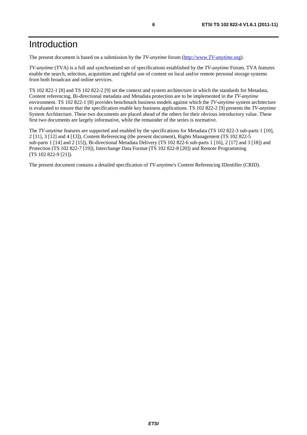## Introduction

The present document is based on a submission by the *TV-anytime* forum [\(http://www.](http://www.tv-anytime.org/)*TV-anytime*.org).

*TV-anytime* (TVA) is a full and synchronized set of specifications established by the *TV-anytime* Forum. TVA features enable the search, selection, acquisition and rightful use of content on local and/or remote personal storage systems from both broadcast and online services.

TS 102 822-1 [8] and TS 102 822-2 [9] set the context and system architecture in which the standards for Metadata, Content referencing, Bi-directional metadata and Metadata protection are to be implemented in the *TV-anytime* environment. TS 102 822-1 [8] provides benchmark business models against which the *TV-anytime* system architecture is evaluated to ensure that the specification enable key business applications. TS 102 822-2 [9] presents the *TV-anytime* System Architecture. These two documents are placed ahead of the others for their obvious introductory value. These first two documents are largely informative, while the remainder of the series is normative.

The *TV-anytime* features are supported and enabled by the specifications for Metadata (TS 102 822-3 sub-parts 1 [10], 2 [11], 3 [12] and 4 [13]), Content Referencing (the present document), Rights Management (TS 102 822-5 sub-parts 1 [14] and 2 [15]), Bi-directional Metadata Delivery (TS 102 822-6 sub-parts 1 [16], 2 [17] and 3 [18]) and Protection (TS 102 822-7 [19]), Interchange Data Format (TS 102 822-8 [20]) and Remote Programming (TS 102 822-9 [21]).

The present document contains a detailed specification of *TV-anytime*'s Content Referencing IDentifier (CRID).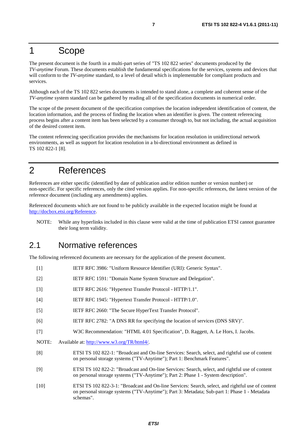### 1 Scope

The present document is the fourth in a multi-part series of "TS 102 822 series" documents produced by the *TV-anytime* Forum. These documents establish the fundamental specifications for the services, systems and devices that will conform to the *TV-anytime* standard, to a level of detail which is implementable for compliant products and services.

Although each of the TS 102 822 series documents is intended to stand alone, a complete and coherent sense of the *TV-anytime* system standard can be gathered by reading all of the specification documents in numerical order.

The scope of the present document of the specification comprises the location independent identification of content, the location information, and the process of finding the location when an identifier is given. The content referencing process begins after a content item has been selected by a consumer through to, but not including, the actual acquisition of the desired content item.

The content referencing specification provides the mechanisms for location resolution in unidirectional network environments, as well as support for location resolution in a bi-directional environment as defined in TS 102 822-1 [8].

## 2 References

References are either specific (identified by date of publication and/or edition number or version number) or non-specific. For specific references, only the cited version applies. For non-specific references, the latest version of the reference document (including any amendments) applies.

Referenced documents which are not found to be publicly available in the expected location might be found at [http://docbox.etsi.org/Reference.](http://docbox.etsi.org/Reference)

NOTE: While any hyperlinks included in this clause were valid at the time of publication ETSI cannot guarantee their long term validity.

### 2.1 Normative references

The following referenced documents are necessary for the application of the present document.

[1] IETF RFC 3986: "Uniform Resource Identifier (URI): Generic Syntax". [2] IETF RFC 1591: "Domain Name System Structure and Delegation". [3] IETF RFC 2616: "Hypertext Transfer Protocol - HTTP/1.1". [4] IETF RFC 1945: "Hypertext Transfer Protocol - HTTP/1.0". [5] IETF RFC 2660: "The Secure HyperText Transfer Protocol". [6] IETF RFC 2782: "A DNS RR for specifying the location of services (DNS SRV)". [7] W3C Recommendation: "HTML 4.01 Specification", D. Raggett, A. Le Hors, I. Jacobs. NOTE: Available at: [http://www.w3.org/TR/html4/.](http://www.w3.org/TR/html4/) [8] ETSI TS 102 822-1: "Broadcast and On-line Services: Search, select, and rightful use of content on personal storage systems ("TV-Anytime"); Part 1: Benchmark Features". [9] ETSI TS 102 822-2: "Broadcast and On-line Services: Search, select, and rightful use of content on personal storage systems ("TV-Anytime"); Part 2: Phase 1 - System description". [10] ETSI TS 102 822-3-1: "Broadcast and On-line Services: Search, select, and rightful use of content on personal storage systems ("TV-Anytime"); Part 3: Metadata; Sub-part 1: Phase 1 - Metadata schemas".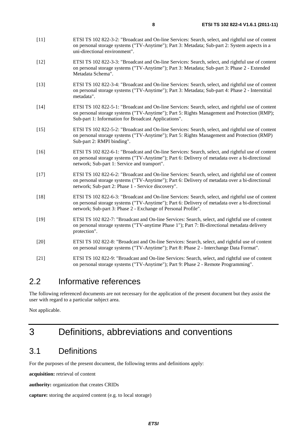- [11] ETSI TS 102 822-3-2: "Broadcast and On-line Services: Search, select, and rightful use of content on personal storage systems ("TV-Anytime"); Part 3: Metadata; Sub-part 2: System aspects in a uni-directional environment".
- [12] ETSI TS 102 822-3-3: "Broadcast and On-line Services: Search, select, and rightful use of content on personal storage systems ("TV-Anytime"); Part 3: Metadata; Sub-part 3: Phase 2 - Extended Metadata Schema".
- [13] ETSI TS 102 822-3-4: "Broadcast and On-line Services: Search, select, and rightful use of content on personal storage systems ("TV-Anytime"); Part 3: Metadata; Sub-part 4: Phase 2 - Interstitial metadata".
- [14] ETSI TS 102 822-5-1: "Broadcast and On-line Services: Search, select, and rightful use of content on personal storage systems ("TV-Anytime"); Part 5: Rights Management and Protection (RMP); Sub-part 1: Information for Broadcast Applications".
- [15] ETSI TS 102 822-5-2: "Broadcast and On-line Services: Search, select, and rightful use of content on personal storage systems ("TV-Anytime"); Part 5: Rights Management and Protection (RMP) Sub-part 2: RMPI binding".
- [16] ETSI TS 102 822-6-1: "Broadcast and On-line Services: Search, select, and rightful use of content on personal storage systems ("TV-Anytime"); Part 6: Delivery of metadata over a bi-directional network; Sub-part 1: Service and transport".
- [17] ETSI TS 102 822-6-2: "Broadcast and On-line Services: Search, select, and rightful use of content on personal storage systems ("TV-Anytime"); Part 6: Delivery of metadata over a bi-directional network; Sub-part 2: Phase 1 - Service discovery".
- [18] ETSI TS 102 822-6-3: "Broadcast and On-line Services: Search, select, and rightful use of content on personal storage systems ("TV-Anytime"); Part 6: Delivery of metadata over a bi-directional network; Sub-part 3: Phase 2 - Exchange of Personal Profile".
- [19] ETSI TS 102 822-7: "Broadcast and On-line Services: Search, select, and rightful use of content on personal storage systems ("TV-anytime Phase 1"); Part 7: Bi-directional metadata delivery protection".
- [20] ETSI TS 102 822-8: "Broadcast and On-line Services: Search, select, and rightful use of content on personal storage systems ("TV-Anytime"); Part 8: Phase 2 - Interchange Data Format".
- [21] ETSI TS 102 822-9: "Broadcast and On-line Services: Search, select, and rightful use of content on personal storage systems ("TV-Anytime"); Part 9: Phase 2 - Remote Programming".

### 2.2 Informative references

The following referenced documents are not necessary for the application of the present document but they assist the user with regard to a particular subject area.

Not applicable.

## 3 Definitions, abbreviations and conventions

### 3.1 Definitions

For the purposes of the present document, the following terms and definitions apply:

**acquisition:** retrieval of content

**authority:** organization that creates CRIDs

```
capture: storing the acquired content (e.g. to local storage)
```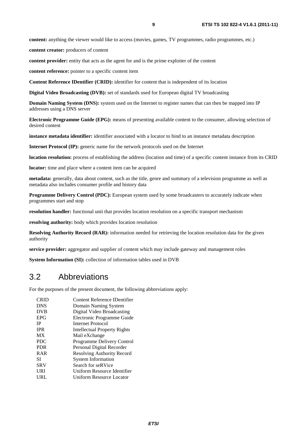**content:** anything the viewer would like to access (movies, games, TV programmes, radio programmes, etc.)

**content creator:** producers of content

**content provider:** entity that acts as the agent for and is the prime exploiter of the content

**content reference:** pointer to a specific content item

**Content Reference IDentifier (CRID):** identifier for content that is independent of its location

**Digital Video Broadcasting (DVB):** set of standards used for European digital TV broadcasting

**Domain Naming System (DNS):** system used on the Internet to register names that can then be mapped into IP addresses using a DNS server

**Electronic Programme Guide (EPG):** means of presenting available content to the consumer, allowing selection of desired content

**instance metadata identifier:** identifier associated with a locator to bind to an instance metadata description

**Internet Protocol (IP):** generic name for the network protocols used on the Internet

**location resolution:** process of establishing the address (location and time) of a specific content instance from its CRID

**locator:** time and place where a content item can be acquired

**metadata:** generally, data about content, such as the title, genre and summary of a television programme as well as metadata also includes consumer profile and history data

**Programme Delivery Control (PDC):** European system used by some broadcasters to accurately indicate when programmes start and stop

**resolution handler:** functional unit that provides location resolution on a specific transport mechanism

**resolving authority:** body which provides location resolution

**Resolving Authority Record (RAR):** information needed for retrieving the location resolution data for the given authority

**service provider:** aggregator and supplier of content which may include gateway and management roles

**System Information (SI):** collection of information tables used in DVB

### 3.2 Abbreviations

For the purposes of the present document, the following abbreviations apply:

| <b>CRID</b> | Content Reference IDentifier |
|-------------|------------------------------|
| <b>DNS</b>  | Domain Naming System         |
| <b>DVB</b>  | Digital Video Broadcasting   |
| <b>EPG</b>  | Electronic Programme Guide   |
| <b>IP</b>   | Internet Protocol            |
| <b>IPR</b>  | Intellectual Property Rights |
| <b>MX</b>   | Mail eXchange                |
| <b>PDC</b>  | Programme Delivery Control   |
| <b>PDR</b>  | Personal Digital Recorder    |
| <b>RAR</b>  | Resolving Authority Record   |
| SІ          | <b>System Information</b>    |
| <b>SRV</b>  | Search for seRVice           |
| URI         | Uniform Resource Identifier  |
| URL         | Uniform Resource Locator     |
|             |                              |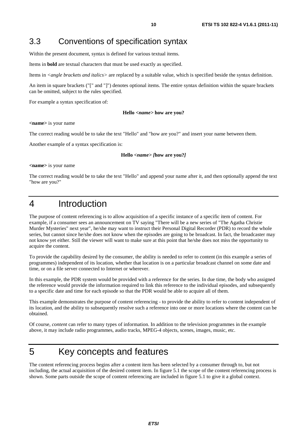### 3.3 Conventions of specification syntax

Within the present document, syntax is defined for various textual items.

Items in **bold** are textual characters that must be used exactly as specified.

Items in *<angle brackets and italics>* are replaced by a suitable value, which is specified beside the syntax definition.

An item in square brackets ("[" and "]") denotes optional items. The entire syntax definition within the square brackets can be omitted, subject to the rules specified.

For example a syntax specification of:

#### **Hello** *<name>* **how are you?**

**<name>** is your name

The correct reading would be to take the text "Hello" and "how are you?" and insert your name between them.

Another example of a syntax specification is:

#### **Hello** *<name> [***how are you?***]*

**<name>** is your name

The correct reading would be to take the text "Hello" and append your name after it, and then optionally append the text "how are you?"

## 4 Introduction

The purpose of content referencing is to allow acquisition of a specific instance of a specific item of content. For example, if a consumer sees an announcement on TV saying "There will be a new series of "The Agatha Christie Murder Mysteries" next year", he/she may want to instruct their Personal Digital Recorder (PDR) to record the whole series, but cannot since he/she does not know when the episodes are going to be broadcast. In fact, the broadcaster may not know yet either. Still the viewer will want to make sure at this point that he/she does not miss the opportunity to acquire the content.

To provide the capability desired by the consumer, the ability is needed to refer to content (in this example a series of programmes) independent of its location, whether that location is on a particular broadcast channel on some date and time, or on a file server connected to Internet or wherever.

In this example, the PDR system would be provided with a reference for the series. In due time, the body who assigned the reference would provide the information required to link this reference to the individual episodes, and subsequently to a specific date and time for each episode so that the PDR would be able to acquire all of them.

This example demonstrates the purpose of content referencing - to provide the ability to refer to content independent of its location, and the ability to subsequently resolve such a reference into one or more locations where the content can be obtained.

Of course, *content* can refer to many types of information. In addition to the television programmes in the example above, it may include radio programmes, audio tracks, MPEG-4 objects, scenes, images, music, etc.

## 5 Key concepts and features

The content referencing process begins after a content item has been selected by a consumer through to, but not including, the actual acquisition of the desired content item. In figure 5.1 the scope of the content referencing process is shown. Some parts outside the scope of content referencing are included in figure 5.1 to give it a global context.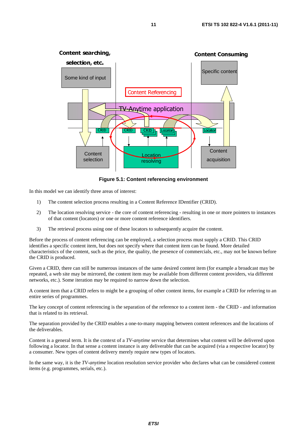

**Figure 5.1: Content referencing environment** 

In this model we can identify three areas of interest:

- 1) The content selection process resulting in a Content Reference IDentifier (CRID).
- 2) The location resolving service the core of content referencing resulting in one or more pointers to instances of that content (locators) or one or more content reference identifiers.
- 3) The retrieval process using one of these locators to subsequently acquire the content.

Before the process of content referencing can be employed, a selection process must supply a CRID. This CRID identifies a specific content item, but does not specify where that content item can be found. More detailed characteristics of the content, such as the price, the quality, the presence of commercials, etc., may not be known before the CRID is produced.

Given a CRID, there can still be numerous instances of the same desired content item (for example a broadcast may be repeated, a web site may be mirrored, the content item may be available from different content providers, via different networks, etc.). Some iteration may be required to narrow down the selection.

A content item that a CRID refers to might be a grouping of other content items, for example a CRID for referring to an entire series of programmes.

The key concept of content referencing is the separation of the reference to a content item - the CRID - and information that is related to its retrieval.

The separation provided by the CRID enables a one-to-many mapping between content references and the locations of the deliverables.

Content is a general term. It is the context of a *TV-anytime* service that determines what content will be delivered upon following a locator. In that sense a content instance is any deliverable that can be acquired (via a respective locator) by a consumer. New types of content delivery merely require new types of locators.

In the same way, it is the *TV-anytime* location resolution service provider who declares what can be considered content items (e.g. programmes, serials, etc.).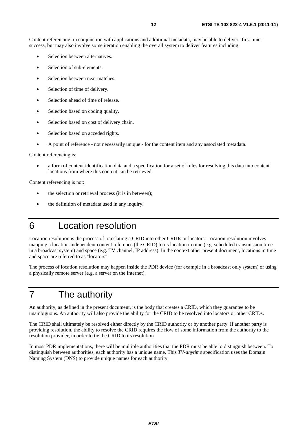Content referencing, in conjunction with applications and additional metadata, may be able to deliver "first time" success, but may also involve some iteration enabling the overall system to deliver features including:

- Selection between alternatives.
- Selection of sub-elements.
- Selection between near matches.
- Selection of time of delivery.
- Selection ahead of time of release.
- Selection based on coding quality.
- Selection based on cost of delivery chain.
- Selection based on acceded rights.
- A point of reference not necessarily unique for the content item and any associated metadata.

Content referencing is:

• a form of content identification data and a specification for a set of rules for resolving this data into content locations from where this content can be retrieved.

Content referencing is not:

- the selection or retrieval process (it is in between);
- the definition of metadata used in any inquiry.
- 6 Location resolution

Location resolution is the process of translating a CRID into other CRIDs or locators. Location resolution involves mapping a location-independent content reference (the CRID) to its location in time (e.g. scheduled transmission time in a broadcast system) and space (e.g. TV channel, IP address). In the context other present document, locations in time and space are referred to as "locators".

The process of location resolution may happen inside the PDR device (for example in a broadcast only system) or using a physically remote server (e.g. a server on the Internet).

## 7 The authority

An authority, as defined in the present document, is the body that creates a CRID, which they guarantee to be unambiguous. An authority will also provide the ability for the CRID to be resolved into locators or other CRIDs.

The CRID shall ultimately be resolved either directly by the CRID authority or by another party. If another party is providing resolution, the ability to resolve the CRID requires the flow of some information from the authority to the resolution provider, in order to tie the CRID to its resolution.

In most PDR implementations, there will be multiple authorities that the PDR must be able to distinguish between. To distinguish between authorities, each authority has a unique name. This *TV-anytime* specification uses the Domain Naming System (DNS) to provide unique names for each authority.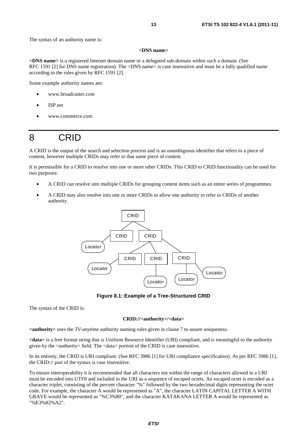The syntax of an authority name is:

#### **<DNS name>**

**<DNS name>** is a registered Internet domain name or a delegated sub-domain within such a domain. (See RFC 1591 [2] for DNS name registration). The <DNS name> is case insensitive and must be a fully qualified name according to the rules given by RFC 1591 [2].

Some example authority names are:

- www.broadcaster.com
- ISP.net
- www.commerce.com

## 8 CRID

A CRID is the output of the search and selection process and is an unambiguous identifier that refers to a piece of content, however multiple CRIDs may refer to that same piece of content.

It is permissible for a CRID to resolve into one or more other CRIDs. This CRID to CRID functionality can be used for two purposes:

- A CRID can resolve into multiple CRIDs for grouping content items such as an entire series of programmes.
- A CRID may also resolve into one or more CRIDs to allow one authority to refer to CRIDs of another authority.



**Figure 8.1: Example of a Tree-Structured CRID** 

The syntax of the CRID is:

#### **CRID://<authority>/<data>**

**<authority>** uses the *TV-anytime* authority naming rules given in clause 7 to assure uniqueness.

**<data>** is a free format string that is Uniform Resource Identifier (URI) compliant, and is meaningful to the authority given by the <authority> field. The <data> portion of the CRID is case insensitive.

In its entirety, the CRID is URI compliant. (See RFC 3986 [1] for URI compliance specification). As per RFC 3986 [1], the CRID:// part of the syntax is case insensitive.

To ensure interoperability it is recommended that all characters not within the range of characters allowed in a URI must be encoded into UTF8 and included in the URI as a sequence of escaped octets. An escaped octet is encoded as a character triplet, consisting of the percent character "%" followed by the two hexadecimal digits representing the octet code. For example, the character A would be represented as "A", the character LATIN CAPITAL LETTER A WITH GRAVE would be represented as "%C3%80", and the character KATAKANA LETTER A would be represented as "%E3%82%A2".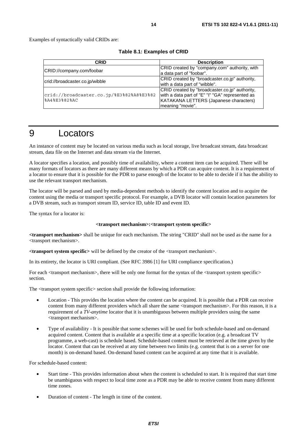Examples of syntactically valid CRIDs are:

|  | Table 8.1: Examples of CRID |  |
|--|-----------------------------|--|
|--|-----------------------------|--|

| CRID                                             | <b>Description</b>                              |
|--------------------------------------------------|-------------------------------------------------|
| CRID://company.com/foobar                        | CRID created by "company.com" authority, with   |
|                                                  | a data part of "foobar".                        |
| crid://broadcaster.co.jp/wibble                  | CRID created by "broadcaster.co.jp" authority,  |
|                                                  | with a data part of "wibble".                   |
|                                                  | CRID created by "broadcaster.co.jp" authority,  |
| $ crit://broadcaster.co.jp/\$E3\$82\$A8\$E3\$82$ | with a data part of "E" "I" "GA" represented as |
| %A4%E3%82%AC                                     | KATAKANA LETTERS (Japanese characters)          |
|                                                  | meaning "movie".                                |

## 9 Locators

An instance of content may be located on various media such as local storage, live broadcast stream, data broadcast stream, data file on the Internet and data stream via the Internet.

A locator specifies a location, and possibly time of availability, where a content item can be acquired. There will be many formats of locators as there are many different means by which a PDR can acquire content. It is a requirement of a locator to ensure that it is possible for the PDR to parse enough of the locator to be able to decide if it has the ability to use the relevant transport mechanism.

The locator will be parsed and used by media-dependent methods to identify the content location and to acquire the content using the media or transport specific protocol. For example, a DVB locator will contain location parameters for a DVB stream, such as transport stream ID, service ID, table ID and event ID.

The syntax for a locator is:

#### **<transport mechanism>:<transport system specific>**

**<transport mechanism>** shall be unique for each mechanism. The string "CRID" shall not be used as the name for a <transport mechanism>.

**<transport system specific>** will be defined by the creator of the <transport mechanism>.

In its entirety, the locator is URI compliant. (See RFC 3986 [1] for URI compliance specification.)

For each  $\langle$ transport mechanism $\rangle$ , there will be only one format for the syntax of the  $\langle$ transport system specific $\rangle$ section.

The <transport system specific> section shall provide the following information:

- Location This provides the location where the content can be acquired. It is possible that a PDR can receive content from many different providers which all share the same <transport mechanism>. For this reason, it is a requirement of a *TV-anytime* locator that it is unambiguous between multiple providers using the same <transport mechanism>.
- Type of availability It is possible that some schemes will be used for both schedule-based and on-demand acquired content. Content that is available at a specific time at a specific location (e.g. a broadcast TV programme, a web-cast) is schedule based. Schedule-based content must be retrieved at the time given by the locator. Content that can be received at any time between two limits (e.g. content that is on a server for one month) is on-demand based. On-demand based content can be acquired at any time that it is available.

For schedule-based content:

- Start time This provides information about when the content is scheduled to start. It is required that start time be unambiguous with respect to local time zone as a PDR may be able to receive content from many different time zones.
- Duration of content The length in time of the content.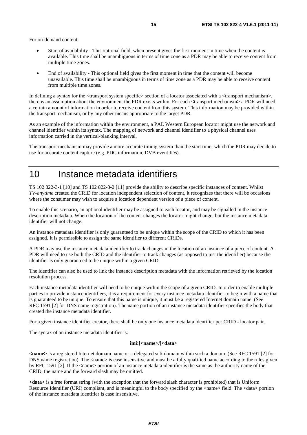For on-demand content:

- Start of availability This optional field, when present gives the first moment in time when the content is available. This time shall be unambiguous in terms of time zone as a PDR may be able to receive content from multiple time zones.
- End of availability This optional field gives the first moment in time that the content will become unavailable. This time shall be unambiguous in terms of time zone as a PDR may be able to receive content from multiple time zones.

In defining a syntax for the  $\langle$ transport system specific $\rangle$  section of a locator associated with a  $\langle$ transport mechanism $\rangle$ , there is an assumption about the environment the PDR exists within. For each <transport mechanism> a PDR will need a certain amount of information in order to receive content from this system. This information may be provided within the transport mechanism, or by any other means appropriate to the target PDR.

As an example of the information within the environment, a PAL Western European locator might use the network and channel identifier within its syntax. The mapping of network and channel identifier to a physical channel uses information carried in the vertical-blanking interval.

The transport mechanism may provide a more accurate timing system than the start time, which the PDR may decide to use for accurate content capture (e.g. PDC information, DVB event IDs).

### 10 Instance metadata identifiers

TS 102 822-3-1 [10] and TS 102 822-3-2 [11] provide the ability to describe specific instances of content. Whilst *TV-anytime* created the CRID for location independent selection of content, it recognizes that there will be occasions where the consumer may wish to acquire a location dependent version of a piece of content.

To enable this scenario, an optional identifier may be assigned to each locator, and may be signalled in the instance description metadata. When the location of the content changes the locator might change, but the instance metadata identifier will not change.

An instance metadata identifier is only guaranteed to be unique within the scope of the CRID to which it has been assigned. It is permissible to assign the same identifier to different CRIDs.

A PDR may use the instance metadata identifier to track changes in the location of an instance of a piece of content. A PDR will need to use both the CRID and the identifier to track changes (as opposed to just the identifier) because the identifier is only guaranteed to be unique within a given CRID.

The identifier can also be used to link the instance description metadata with the information retrieved by the location resolution process.

Each instance metadata identifier will need to be unique within the scope of a given CRID. In order to enable multiple parties to provide instance identifiers, it is a requirement for every instance metadata identifier to begin with a name that is guaranteed to be unique. To ensure that this name is unique, it must be a registered Internet domain name. (See RFC 1591 [2] for DNS name registration). The name portion of an instance metadata identifier specifies the body that created the instance metadata identifier.

For a given instance identifier creator, there shall be only one instance metadata identifier per CRID - locator pair.

The syntax of an instance metadata identifier is:

#### **imi:[<name>/]<data>**

**<name>** is a registered Internet domain name or a delegated sub-domain within such a domain. (See RFC 1591 [2] for DNS name registration). The  $\alpha$  -name is case insensitive and must be a fully qualified name according to the rules given by RFC 1591 [2]. If the <name> portion of an instance metadata identifier is the same as the authority name of the CRID, the name and the forward slash may be omitted.

**<data>** is a free format string (with the exception that the forward slash character is prohibited) that is Uniform Resource Identifier (URI) compliant, and is meaningful to the body specified by the <name> field. The <data> portion of the instance metadata identifier is case insensitive.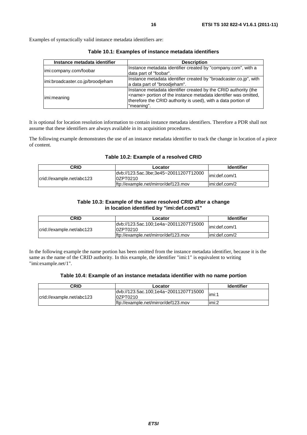Examples of syntactically valid instance metadata identifiers are:

| Instance metadata identifier     | <b>Description</b>                                                                                                                                                                                                         |
|----------------------------------|----------------------------------------------------------------------------------------------------------------------------------------------------------------------------------------------------------------------------|
| imi:company.com/foobar           | Instance metadata identifier created by "company.com", with a<br>data part of "foobar".                                                                                                                                    |
| imi:broadcaster.co.jp/broodjeham | Instance metadata identifier created by "broadcaster.co.jp", with<br>a data part of "broodjeham".                                                                                                                          |
| limi:meaning                     | Instance metadata identifier created by the CRID authority (the<br><name> portion of the instance metadata identifier was omitted,<br/>therefore the CRID authority is used), with a data portion of<br/>"meaning".</name> |

**Table 10.1: Examples of instance metadata identifiers** 

It is optional for location resolution information to contain instance metadata identifiers. Therefore a PDR shall not assume that these identifiers are always available in its acquisition procedures.

The following example demonstrates the use of an instance metadata identifier to track the change in location of a piece of content.

#### **Table 10.2: Example of a resolved CRID**

| CRID                      | Locator                                            | <b>Identifier</b> |
|---------------------------|----------------------------------------------------|-------------------|
| crid://example.net/abc123 | dvb://123.5ac.3be;3e45~20011207T12000<br>l0ZPT0210 | limi:def.com/1    |
|                           | lftp://example.net/mirror/def123.mov               | limi:def.com/2    |

#### **Table 10.3: Example of the same resolved CRID after a change in location identified by "imi:def.com/1"**

| CRID                      | Locator                                             | <b>Identifier</b> |
|---------------------------|-----------------------------------------------------|-------------------|
| crid://example.net/abc123 | ldyb://123.5ac.100:1e4a~20011207T15000<br>l0ZPT0210 | limi:def.com/1    |
|                           | lftp://example.net/mirror/def123.mov                | limi:def.com/2    |

In the following example the name portion has been omitted from the instance metadata identifier, because it is the same as the name of the CRID authority. In this example, the identifier "imi:1" is equivalent to writing "imi:example.net/1".

#### **Table 10.4: Example of an instance metadata identifier with no name portion**

| CRID                      | Locator                                            | <b>Identifier</b> |
|---------------------------|----------------------------------------------------|-------------------|
| crid://example.net/abc123 | ldvb://123.5ac.100;1e4a~20011207T15000<br>0ZPT0210 | limi:1            |
|                           | ftp://example.net/mirror/def123.mov                | limi:2            |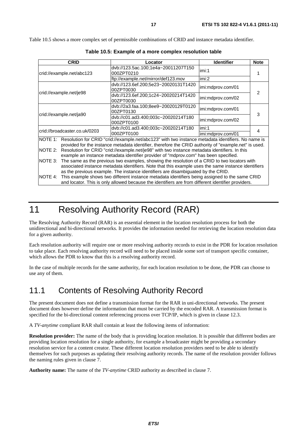Table 10.5 shows a more complex set of permissible combinations of CRID and instance metadata identifier.

|                           | <b>CRID</b>                   | Locator                                                                                                                                                                                                             | <b>Identifier</b> | <b>Note</b> |
|---------------------------|-------------------------------|---------------------------------------------------------------------------------------------------------------------------------------------------------------------------------------------------------------------|-------------------|-------------|
| crid://example.net/abc123 |                               | dvb://123.5ac.100;1e4a~20011207T150<br>000ZPT0210                                                                                                                                                                   | imi:1             |             |
|                           |                               | ftp://example.net/mirror/def123.mov                                                                                                                                                                                 | imi:2             |             |
|                           |                               | dvb://123.6ef.200;5e23~20020131T1420<br>00ZPT0030                                                                                                                                                                   | imi:mdprov.com/01 | 2           |
|                           | crid://example.net/je98       | dvb://123.6ef.200;1c24~20020214T1420<br>00ZPT0030                                                                                                                                                                   | imi:mdprov.com/02 |             |
|                           |                               | dvb://2a3.faa.100;8ee9~20020129T0120<br>00ZPT0130                                                                                                                                                                   | imi:mdprov.com/01 | 3           |
|                           | crid://example.net/ja90       | dvb://c01.ad3.400;003c~20020214T180<br>000ZPT0100                                                                                                                                                                   | imi:mdprov.com/02 |             |
|                           | crid://broadcaster.co.uk/0203 | dvb://c01.ad3.400;003c~20020214T180                                                                                                                                                                                 | imi:1             | 4           |
|                           |                               | 000ZPT0100                                                                                                                                                                                                          | imi:mdprov.com/01 |             |
|                           |                               | NOTE 1: Resolution for CRID "crid://example.net/abc123" with two instance metadata identifiers. No name is<br>provided for the instance metadata identifier, therefore the CRID authority of "example.net" is used. |                   |             |
| NOTE 2:                   |                               | Resolution for CRID "crid://example.net/je98" with two instance metadata identifiers. In this                                                                                                                       |                   |             |
|                           |                               | example an instance metadata identifier provider of "mdprov.com" has been specified.                                                                                                                                |                   |             |
| NOTE 3:                   |                               | The same as the previous two examples, showing the resolution of a CRID to two locators with                                                                                                                        |                   |             |
|                           |                               | associated instance metadata identifiers. Note that this example uses the same instance identifiers                                                                                                                 |                   |             |
|                           |                               | as the previous example. The instance identifiers are disambiguated by the CRID.                                                                                                                                    |                   |             |
| NOTE 4:                   |                               | This example shows two different instance metadata identifiers being assigned to the same CRID                                                                                                                      |                   |             |
|                           |                               | and locator. This is only allowed because the identifiers are from different identifier providers.                                                                                                                  |                   |             |

**Table 10.5: Example of a more complex resolution table** 

## 11 Resolving Authority Record (RAR)

The Resolving Authority Record (RAR) is an essential element in the location resolution process for both the unidirectional and bi-directional networks. It provides the information needed for retrieving the location resolution data for a given authority.

Each resolution authority will require one or more resolving authority records to exist in the PDR for location resolution to take place. Each resolving authority record will need to be placed inside some sort of transport specific container, which allows the PDR to know that this is a resolving authority record.

In the case of multiple records for the same authority, for each location resolution to be done, the PDR can choose to use any of them.

### 11.1 Contents of Resolving Authority Record

The present document does not define a transmission format for the RAR in uni-directional networks. The present document does however define the information that must be carried by the encoded RAR. A transmission format is specified for the bi-directional content referencing process over TCP/IP, which is given in clause 12.3.

A *TV-anytime* compliant RAR shall contain at least the following items of information:

**Resolution provider:** The name of the body that is providing location resolution. It is possible that different bodies are providing location resolution for a single authority, for example a broadcaster might be providing a secondary resolution service for a content creator. These different location resolution providers need to be able to identify themselves for such purposes as updating their resolving authority records. The name of the resolution provider follows the naming rules given in clause 7.

**Authority name:** The name of the *TV-anytime* CRID authority as described in clause 7.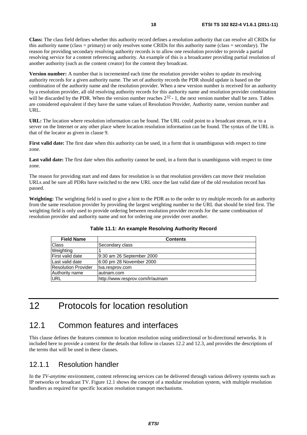**Class:** The class field defines whether this authority record defines a resolution authority that can resolve all CRIDs for this authority name (class = primary) or only resolves some CRIDs for this authority name (class = secondary). The reason for providing secondary resolving authority records is to allow one resolution provider to provide a partial resolving service for a content referencing authority. An example of this is a broadcaster providing partial resolution of another authority (such as the content creator) for the content they broadcast.

**Version number:** A number that is incremented each time the resolution provider wishes to update its resolving authority records for a given authority name. The set of authority records the PDR should update is based on the combination of the authority name and the resolution provider. When a new version number is received for an authority by a resolution provider, all old resolving authority records for this authority name and resolution provider combination will be discarded by the PDR. When the version number reaches  $2^{32}$  - 1, the next version number shall be zero. Tables are considered equivalent if they have the same values of Resolution Provider, Authority name, version number and URL.

**URL:** The location where resolution information can be found. The URL could point to a broadcast stream, or to a server on the Internet or any other place where location resolution information can be found. The syntax of the URL is that of the locator as given in clause 9.

**First valid date:** The first date when this authority can be used, in a form that is unambiguous with respect to time zone.

Last valid date: The first date when this authority cannot be used, in a form that is unambiguous with respect to time zone.

The reason for providing start and end dates for resolution is so that resolution providers can move their resolution URLs and be sure all PDRs have switched to the new URL once the last valid date of the old resolution record has passed.

**Weighting:** The weighting field is used to give a hint to the PDR as to the order to try multiple records for an authority from the same resolution provider by providing the largest weighting number to the URL that should be tried first. The weighting field is only used to provide ordering between resolution provider records for the same combination of resolution provider and authority name and not for ordering one provider over another.

| <b>Field Name</b>       | <b>Contents</b>                  |
|-------------------------|----------------------------------|
| Class                   | Secondary class                  |
| Weighting               |                                  |
| <b>First valid date</b> | 9:30 am 26 September 2000        |
| Last valid date         | 6:00 pm 28 November 2000         |
| Resolution Provider     | tva.resprov.com                  |
| Authority name          | lautnam.com                      |
| URL                     | http://www.resprov.com/lr/autnam |

**Table 11.1: An example Resolving Authority Record** 

## 12 Protocols for location resolution

### 12.1 Common features and interfaces

This clause defines the features common to location resolution using unidirectional or bi-directional networks. It is included here to provide a context for the details that follow in clauses 12.2 and 12.3, and provides the descriptions of the terms that will be used in these clauses.

### 12.1.1 Resolution handler

In the *TV-anytime* environment, content referencing services can be delivered through various delivery systems such as IP networks or broadcast TV. Figure 12.1 shows the concept of a modular resolution system, with multiple resolution handlers as required for specific location resolution transport mechanisms.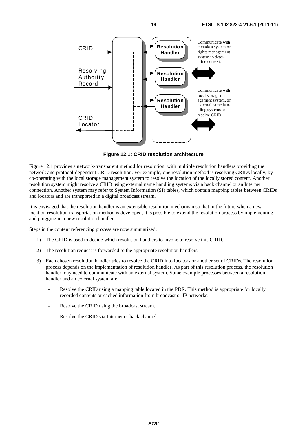

**Figure 12.1: CRID resolution architecture** 

Figure 12.1 provides a network-transparent method for resolution, with multiple resolution handlers providing the network and protocol-dependent CRID resolution. For example, one resolution method is resolving CRIDs locally, by co-operating with the local storage management system to resolve the location of the locally stored content. Another resolution system might resolve a CRID using external name handling systems via a back channel or an Internet connection. Another system may refer to System Information (SI) tables, which contain mapping tables between CRIDs and locators and are transported in a digital broadcast stream.

It is envisaged that the resolution handler is an extensible resolution mechanism so that in the future when a new location resolution transportation method is developed, it is possible to extend the resolution process by implementing and plugging in a new resolution handler.

Steps in the content referencing process are now summarized:

- 1) The CRID is used to decide which resolution handlers to invoke to resolve this CRID.
- 2) The resolution request is forwarded to the appropriate resolution handlers.
- 3) Each chosen resolution handler tries to resolve the CRID into locators or another set of CRIDs. The resolution process depends on the implementation of resolution handler. As part of this resolution process, the resolution handler may need to communicate with an external system. Some example processes between a resolution handler and an external system are:
	- Resolve the CRID using a mapping table located in the PDR. This method is appropriate for locally recorded contents or cached information from broadcast or IP networks.
	- Resolve the CRID using the broadcast stream.
	- Resolve the CRID via Internet or back channel.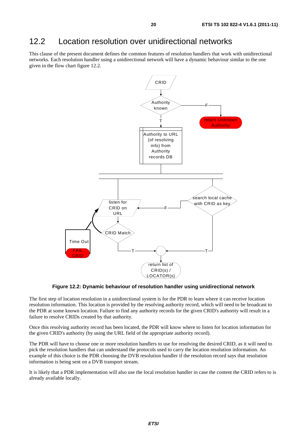### 12.2 Location resolution over unidirectional networks

This clause of the present document defines the common features of resolution handlers that work with unidirectional networks. Each resolution handler using a unidirectional network will have a dynamic behaviour similar to the one given in the flow chart figure 12.2.



**Figure 12.2: Dynamic behaviour of resolution handler using unidirectional network** 

The first step of location resolution in a unidirectional system is for the PDR to learn where it can receive location resolution information. This location is provided by the resolving authority record, which will need to be broadcast to the PDR at some known location. Failure to find any authority records for the given CRID's authority will result in a failure to resolve CRIDs created by that authority.

Once this resolving authority record has been located, the PDR will know where to listen for location information for the given CRID's authority (by using the URL field of the appropriate authority record).

The PDR will have to choose one or more resolution handlers to use for resolving the desired CRID, as it will need to pick the resolution handlers that can understand the protocols used to carry the location resolution information. An example of this choice is the PDR choosing the DVB resolution handler if the resolution record says that resolution information is being sent on a DVB transport stream.

It is likely that a PDR implementation will also use the local resolution handler in case the content the CRID refers to is already available locally.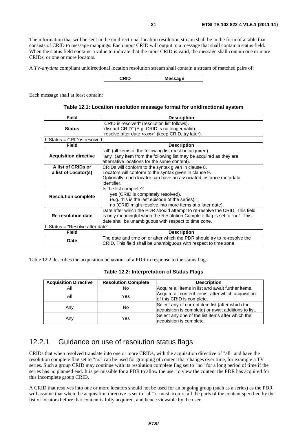The information that will be sent in the unidirectional location resolution stream shall be in the form of a table that consists of CRID to message mappings. Each input CRID will output to a message that shall contain a status field. When the status field contains a value to indicate that the input CRID is valid, the message shall contain one or more CRIDs, or one or more locators.

A *TV-anytime* compliant unidirectional location resolution stream shall contain a stream of matched pairs of:

**CRID Message**

Each message shall at least contain:

| Table 12.1: Location resolution message format for unidirectional system |
|--------------------------------------------------------------------------|
|--------------------------------------------------------------------------|

| <b>Field</b>                      | <b>Description</b>                                                         |  |
|-----------------------------------|----------------------------------------------------------------------------|--|
|                                   | "CRID is resolved" (resolution list follows).                              |  |
| <b>Status</b>                     | "discard CRID" (E.g. CRID is no longer valid).                             |  |
|                                   | "resolve after date <xxx>" (keep CRID, try later).</xxx>                   |  |
| If Status = CRID is resolved:     |                                                                            |  |
| Field                             | <b>Description</b>                                                         |  |
|                                   | "all" (all items of the following list must be acquired).                  |  |
| <b>Acquisition directive</b>      | "any" (any item from the following list may be acquired as they are        |  |
|                                   | alternative locations for the same content).                               |  |
| A list of CRIDs or                | CRIDs will conform to the syntax given in clause 8.                        |  |
| a list of Locator(s)              | Locators will conform to the syntax given in clause 9.                     |  |
|                                   | Optionally, each locator can have an associated instance metadata          |  |
|                                   | identifier.                                                                |  |
|                                   | Is the list complete?                                                      |  |
| <b>Resolution complete</b>        | yes (CRID is completely resolved).                                         |  |
|                                   | (e.g. this is the last episode of the series).                             |  |
|                                   | no (CRID might resolve into more items at a later date).                   |  |
| <b>Re-resolution date</b>         | Date after which the PDR should attempt to re-resolve the CRID. This field |  |
|                                   | is only meaningful when the Resolution Complete flag is set to "no". This  |  |
|                                   | date shall be unambiguous with respect to time zone.                       |  |
| If Status = "Resolve after date": |                                                                            |  |
| Field                             | <b>Description</b>                                                         |  |
| Date                              | The date and time on or after which the PDR should try to re-resolve the   |  |
|                                   | CRID. This field shall be unambiguous with respect to time zone.           |  |

Table 12.2 describes the acquisition behaviour of a PDR in response to the status flags.

#### **Table 12.2: Interpretation of Status Flags**

| <b>Acquisition Directive</b> | <b>Resolution Complete</b> | <b>Description</b>                                                                                       |
|------------------------------|----------------------------|----------------------------------------------------------------------------------------------------------|
| Αll                          | No                         | Acquire all items in list and await further items.                                                       |
| All                          | Yes                        | Acquire all content items, after which acquisition<br>of this CRID is complete.                          |
| Any                          | No                         | Select any of current item list (after which the<br>acquisition is complete) or await additions to list. |
| Any                          | Yes                        | Select any one of the list items after which the<br>acquisition is complete.                             |

### 12.2.1 Guidance on use of resolution status flags

CRIDs that when resolved translate into one or more CRIDs, with the acquisition directive of "all" and have the resolution complete flag set to "no" can be used for grouping of content that changes over time, for example a TV series. Such a group CRID may continue with its resolution complete flag set to "no" for a long period of time if the series has no planned end. It is permissible for a PDR to allow the user to view the content the PDR has acquired for this incomplete group CRID.

A CRID that resolves into one or more locators should not be used for an ongoing group (such as a series) as the PDR will assume that when the acquisition directive is set to "all" it must acquire all the parts of the content specified by the list of locators before that content is fully acquired, and hence viewable by the user.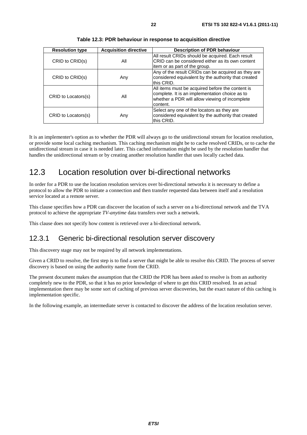| <b>Resolution type</b> | <b>Acquisition directive</b> | <b>Description of PDR behaviour</b>                                                                                                                              |
|------------------------|------------------------------|------------------------------------------------------------------------------------------------------------------------------------------------------------------|
| CRID to CRID(s)        | All                          | All result CRIDs should be acquired. Each result<br>CRID can be considered either as its own content<br>litem or as part of the group.                           |
| CRID to CRID(s)        | Any                          | Any of the result CRIDs can be acquired as they are<br>considered equivalent by the authority that created<br>this CRID.                                         |
| CRID to Locators(s)    | All                          | All items must be acquired before the content is<br>complete. It is an implementation choice as to<br>whether a PDR will allow viewing of incomplete<br>content. |
| CRID to Locators(s)    | Any                          | Select any one of the locators as they are<br>considered equivalent by the authority that created<br>this CRID.                                                  |

**Table 12.3: PDR behaviour in response to acquisition directive** 

It is an implementer's option as to whether the PDR will always go to the unidirectional stream for location resolution, or provide some local caching mechanism. This caching mechanism might be to cache resolved CRIDs, or to cache the unidirectional stream in case it is needed later. This cached information might be used by the resolution handler that handles the unidirectional stream or by creating another resolution handler that uses locally cached data.

### 12.3 Location resolution over bi-directional networks

In order for a PDR to use the location resolution services over bi-directional networks it is necessary to define a protocol to allow the PDR to initiate a connection and then transfer requested data between itself and a resolution service located at a remote server.

This clause specifies how a PDR can discover the location of such a server on a bi-directional network and the TVA protocol to achieve the appropriate *TV-anytime* data transfers over such a network.

This clause does not specify how content is retrieved over a bi-directional network.

### 12.3.1 Generic bi-directional resolution server discovery

This discovery stage may not be required by all network implementations.

Given a CRID to resolve, the first step is to find a server that might be able to resolve this CRID. The process of server discovery is based on using the authority name from the CRID.

The present document makes the assumption that the CRID the PDR has been asked to resolve is from an authority completely new to the PDR, so that it has no prior knowledge of where to get this CRID resolved. In an actual implementation there may be some sort of caching of previous server discoveries, but the exact nature of this caching is implementation specific.

In the following example, an intermediate server is contacted to discover the address of the location resolution server.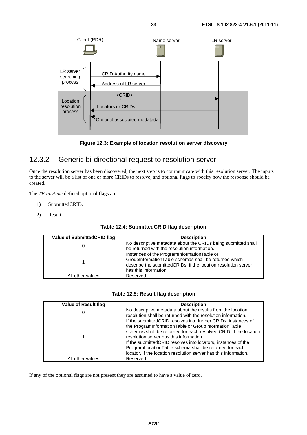



### 12.3.2 Generic bi-directional request to resolution server

Once the resolution server has been discovered, the next step is to communicate with this resolution server. The inputs to the server will be a list of one or more CRIDs to resolve, and optional flags to specify how the response should be created.

The *TV-anytime* defined optional flags are:

- 1) SubmittedCRID.
- 2) Result.

| Value of Submitted CRID flag | <b>Description</b>                                                                                                                                                                              |
|------------------------------|-------------------------------------------------------------------------------------------------------------------------------------------------------------------------------------------------|
|                              | No descriptive metadata about the CRIDs being submitted shall<br>be returned with the resolution information.                                                                                   |
|                              | Instances of the ProgramInformationTable or<br>GroupInformationTable schemas shall be returned which<br>describe the submittedCRIDs, if the location resolution server<br>has this information. |
| All other values             | Reserved.                                                                                                                                                                                       |

#### **Table 12.5: Result flag description**

| Value of Result flag | <b>Description</b>                                                                                                      |
|----------------------|-------------------------------------------------------------------------------------------------------------------------|
| U                    | No descriptive metadata about the results from the location                                                             |
|                      | resolution shall be returned with the resolution information.                                                           |
|                      | If the submitted CRID resolves into further CRIDs, instances of<br>the ProgramInformationTable or GroupInformationTable |
|                      | schemas shall be returned for each resolved CRID, if the location                                                       |
|                      | resolution server has this information.                                                                                 |
|                      | If the submitted CRID resolves into locators, instances of the                                                          |
|                      | ProgramLocationTable schema shall be returned for each                                                                  |
|                      | locator, if the location resolution server has this information.                                                        |
| All other values     | Reserved.                                                                                                               |

If any of the optional flags are not present they are assumed to have a value of zero.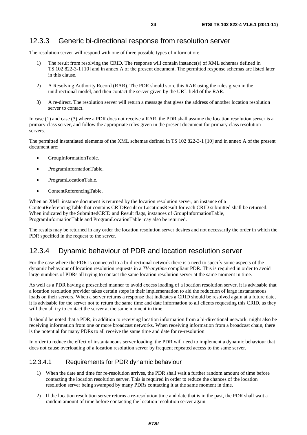### 12.3.3 Generic bi-directional response from resolution server

The resolution server will respond with one of three possible types of information:

- 1) The result from resolving the CRID. The response will contain instance(s) of XML schemas defined in TS 102 822-3-1 [10] and in annex A of the present document. The permitted response schemas are listed later in this clause.
- 2) A Resolving Authority Record (RAR). The PDR should store this RAR using the rules given in the unidirectional model, and then contact the server given by the URL field of the RAR.
- 3) A re-direct. The resolution server will return a message that gives the address of another location resolution server to contact.

In case (1) and case (3) where a PDR does not receive a RAR, the PDR shall assume the location resolution server is a primary class server, and follow the appropriate rules given in the present document for primary class resolution servers.

The permitted instantiated elements of the XML schemas defined in TS 102 822-3-1 [10] and in annex A of the present document are:

- GroupInformationTable.
- ProgramInformationTable.
- ProgramLocationTable.
- ContentReferencingTable.

When an XML instance document is returned by the location resolution server, an instance of a ContentReferencingTable that contains CRIDResult or LocationsResult for each CRID submitted shall be returned. When indicated by the SubmittedCRID and Result flags, instances of GroupInformationTable, ProgramInformationTable and ProgramLocationTable may also be returned.

The results may be returned in any order the location resolution server desires and not necessarily the order in which the PDR specified in the request to the server.

### 12.3.4 Dynamic behaviour of PDR and location resolution server

For the case where the PDR is connected to a bi-directional network there is a need to specify some aspects of the dynamic behaviour of location resolution requests in a *TV-anytime* compliant PDR. This is required in order to avoid large numbers of PDRs all trying to contact the same location resolution server at the same moment in time.

As well as a PDR having a prescribed manner to avoid excess loading of a location resolution server, it is advisable that a location resolution provider takes certain steps in their implementation to aid the reduction of large instantaneous loads on their servers. When a server returns a response that indicates a CRID should be resolved again at a future date, it is advisable for the server not to return the same time and date information to all clients requesting this CRID, as they will then all try to contact the server at the same moment in time.

It should be noted that a PDR, in addition to receiving location information from a bi-directional network, might also be receiving information from one or more broadcast networks. When receiving information from a broadcast chain, there is the potential for many PDRs to all receive the same time and date for re-resolution.

In order to reduce the effect of instantaneous server loading, the PDR will need to implement a dynamic behaviour that does not cause overloading of a location resolution server by frequent repeated access to the same server.

#### 12.3.4.1 Requirements for PDR dynamic behaviour

- 1) When the date and time for re-resolution arrives, the PDR shall wait a further random amount of time before contacting the location resolution server. This is required in order to reduce the chances of the location resolution server being swamped by many PDRs contacting it at the same moment in time.
- 2) If the location resolution server returns a re-resolution time and date that is in the past, the PDR shall wait a random amount of time before contacting the location resolution server again.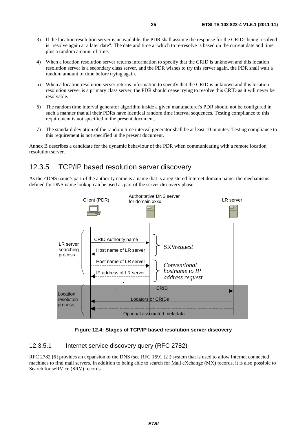- 3) If the location resolution server is unavailable, the PDR shall assume the response for the CRIDs being resolved is "resolve again at a later date". The date and time at which to re-resolve is based on the current date and time plus a random amount of time.
- 4) When a location resolution server returns information to specify that the CRID is unknown and this location resolution server is a secondary class server, and the PDR wishes to try this server again, the PDR shall wait a random amount of time before trying again.
- 5) When a location resolution server returns information to specify that the CRID is unknown and this location resolution server is a primary class server, the PDR should cease trying to resolve this CRID as it will never be resolvable.
- 6) The random time interval generator algorithm inside a given manufacturer's PDR should not be configured in such a manner that all their PDRs have identical random time interval sequences. Testing compliance to this requirement is not specified in the present document.
- 7) The standard deviation of the random time interval generator shall be at least 10 minutes. Testing compliance to this requirement is not specified in the present document.

Annex B describes a candidate for the dynamic behaviour of the PDR when communicating with a remote location resolution server.

### 12.3.5 TCP/IP based resolution server discovery

As the <DNS name> part of the authority name is a name that is a registered Internet domain name, the mechanisms defined for DNS name lookup can be used as part of the server discovery phase.



**Figure 12.4: Stages of TCP/IP based resolution server discovery** 

#### 12.3.5.1 Internet service discovery query (RFC 2782)

RFC 2782 [6] provides an expansion of the DNS (see RFC 1591 [2]) system that is used to allow Internet connected machines to find mail servers. In addition to being able to search for Mail eXchange (MX) records, it is also possible to Search for seRVice (SRV) records.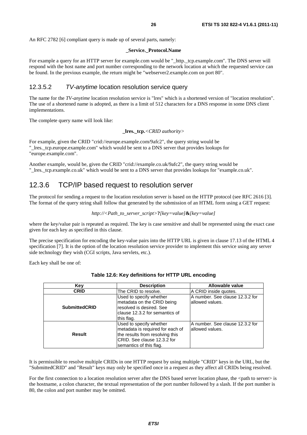#### **\_Service.\_Protocol.Name**

For example a query for an HTTP server for example.com would be "\_http.\_tcp.example.com". The DNS server will respond with the host name and port number corresponding to the network location at which the requested service can be found. In the previous example, the return might be "webserver2.example.com on port 80".

#### 12.3.5.2 *TV-anytime* location resolution service query

The name for the *TV-anytime* location resolution service is "lres" which is a shortened version of "location resolution". The use of a shortened name is adopted, as there is a limit of 512 characters for a DNS response in some DNS client implementations.

The complete query name will look like:

```
_lres._tcp.<CRID authority>
```
For example, given the CRID "crid://europe.example.com/9afc2", the query string would be "\_lres.\_tcp.europe.example.com" which would be sent to a DNS server that provides lookups for "europe.example.com".

Another example, would be, given the CRID "crid://example.co.uk/9afc2", the query string would be "\_lres.\_tcp.example.co.uk" which would be sent to a DNS server that provides lookups for "example.co.uk".

### 12.3.6 TCP/IP based request to resolution server

The protocol for sending a request to the location resolution server is based on the HTTP protocol (see RFC 2616 [3]. The format of the query string shall follow that generated by the submission of an HTML form using a GET request:

```
http://<Path_to_server_script>?[key=value]&[key=value]
```
where the key/value pair is repeated as required. The key is case sensitive and shall be represented using the exact case given for each key as specified in this clause.

The precise specification for encoding the key-value pairs into the HTTP URL is given in clause 17.13 of the HTML 4 specification [7]. It is the option of the location resolution service provider to implement this service using any server side technology they wish (CGI scripts, Java servlets, etc.).

Each key shall be one of:

| Key                  | <b>Description</b>                                                                                                                                        | Allowable value                                     |
|----------------------|-----------------------------------------------------------------------------------------------------------------------------------------------------------|-----------------------------------------------------|
| <b>CRID</b>          | The CRID to resolve.                                                                                                                                      | A CRID inside quotes.                               |
| <b>SubmittedCRID</b> | Used to specify whether<br>metadata on the CRID being<br>resolved is desired. See<br>clause 12.3.2 for semantics of<br>this flag.                         | A number. See clause 12.3.2 for<br>lallowed values. |
| Result               | Used to specify whether<br>metadata is required for each of<br>the results from resolving this<br>ICRID. See clause 12.3.2 for<br>semantics of this flag. | IA number. See clause 12.3.2 for<br>allowed values. |

|  | Table 12.6: Key definitions for HTTP URL encoding |  |  |
|--|---------------------------------------------------|--|--|
|--|---------------------------------------------------|--|--|

It is permissible to resolve multiple CRIDs in one HTTP request by using multiple "CRID" keys in the URL, but the "SubmittedCRID" and "Result" keys may only be specified once in a request as they affect all CRIDs being resolved.

For the first connection to a location resolution server after the DNS based server location phase, the  $\leq$ path to server> is the hostname, a colon character, the textual representation of the port number followed by a slash. If the port number is 80, the colon and port number may be omitted.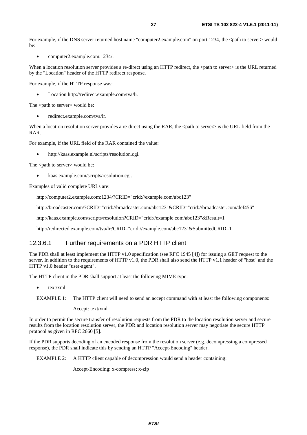For example, if the DNS server returned host name "computer2.example.com" on port 1234, the  $\lt$ path to server $\gt$  would  $he:$ 

• computer2.example.com:1234/.

When a location resolution server provides a re-direct using an HTTP redirect, the <path to server> is the URL returned by the "Location" header of the HTTP redirect response.

For example, if the HTTP response was:

• Location http://redirect.example.com/tva/lr.

The <path to server> would be:

• redirect.example.com/tva/lr.

When a location resolution server provides a re-direct using the RAR, the <path to server> is the URL field from the RAR.

For example, if the URL field of the RAR contained the value:

• http://kaas.example.nl/scripts/resolution.cgi.

The <path to server> would be:

• kaas.example.com/scripts/resolution.cgi.

Examples of valid complete URLs are:

http://computer2.example.com:1234/?CRID="crid://example.com/abc123"

http://broadcaster.com/?CRID="crid://broadcaster.com/abc123"&CRID="crid://broadcaster.com/def456"

http://kaas.example.com/scripts/resolution?CRID="crid://example.com/abc123"&Result=1

http://redirected.example.com/tva/lr?CRID="crid://example.com/abc123"&SubmittedCRID=1

#### 12.3.6.1 Further requirements on a PDR HTTP client

The PDR shall at least implement the HTTP v1.0 specification (see RFC 1945 [4]) for issuing a GET request to the server. In addition to the requirements of HTTP v1.0, the PDR shall also send the HTTP v1.1 header of "host" and the HTTP v1.0 header "user-agent".

The HTTP client in the PDR shall support at least the following MIME type:

• text/xml

Accept: text/xml

In order to permit the secure transfer of resolution requests from the PDR to the location resolution server and secure results from the location resolution server, the PDR and location resolution server may negotiate the secure HTTP protocol as given in RFC 2660 [5].

If the PDR supports decoding of an encoded response from the resolution server (e.g. decompressing a compressed response), the PDR shall indicate this by sending an HTTP "Accept-Encoding" header.

EXAMPLE 2: A HTTP client capable of decompression would send a header containing:

Accept-Encoding: x-compress; x-zip

EXAMPLE 1: The HTTP client will need to send an accept command with at least the following components: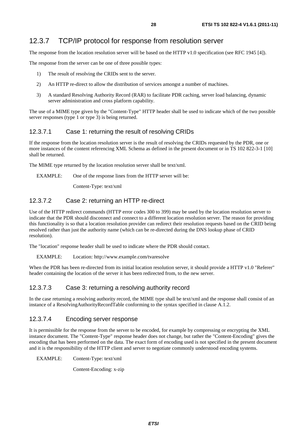The response from the location resolution server will be based on the HTTP v1.0 specification (see RFC 1945 [4]).

The response from the server can be one of three possible types:

- 1) The result of resolving the CRIDs sent to the server.
- 2) An HTTP re-direct to allow the distribution of services amongst a number of machines.
- 3) A standard Resolving Authority Record (RAR) to facilitate PDR caching, server load balancing, dynamic server administration and cross platform capability.

The use of a MIME type given by the "Content-Type" HTTP header shall be used to indicate which of the two possible server responses (type 1 or type 3) is being returned.

#### 12.3.7.1 Case 1: returning the result of resolving CRIDs

If the response from the location resolution server is the result of resolving the CRIDs requested by the PDR, one or more instances of the content referencing XML Schema as defined in the present document or in TS 102 822-3-1 [10] shall be returned.

The MIME type returned by the location resolution server shall be text/xml.

EXAMPLE: One of the response lines from the HTTP server will be:

Content-Type: text/xml

### 12.3.7.2 Case 2: returning an HTTP re-direct

Use of the HTTP redirect commands (HTTP error codes 300 to 399) may be used by the location resolution server to indicate that the PDR should disconnect and connect to a different location resolution server. The reason for providing this functionality is so that a location resolution provider can redirect their resolution requests based on the CRID being resolved rather than just the authority name (which can be re-directed during the DNS lookup phase of CRID resolution).

The "location" response header shall be used to indicate where the PDR should contact.

#### EXAMPLE: Location: http://www.example.com/tvaresolve

When the PDR has been re-directed from its initial location resolution server, it should provide a HTTP v1.0 "Referer" header containing the location of the server it has been redirected from, to the new server.

#### 12.3.7.3 Case 3: returning a resolving authority record

In the case returning a resolving authority record, the MIME type shall be text/xml and the response shall consist of an instance of a ResolvingAuthorityRecordTable conforming to the syntax specified in clause A.1.2.

#### 12.3.7.4 Encoding server response

It is permissible for the response from the server to be encoded, for example by compressing or encrypting the XML instance document. The "Content-Type" response header does not change, but rather the "Content-Encoding" gives the encoding that has been performed on the data. The exact form of encoding used is not specified in the present document and it is the responsibility of the HTTP client and server to negotiate commonly understood encoding systems.

EXAMPLE: Content-Type: text/xml

Content-Encoding: x-zip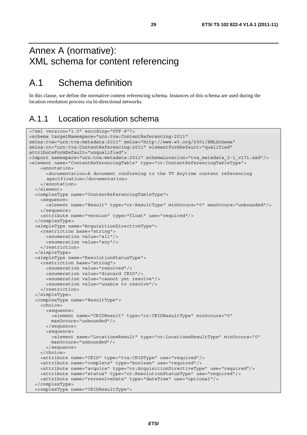## Annex A (normative): XML schema for content referencing

## A.1 Schema definition

In this clause, we define the normative content referencing schema. Instances of this schema are used during the location resolution process via bi-directional networks.

### A.1.1 Location resolution schema

```
<?xml version="1.0" encoding="UTF-8"?> 
<schema targetNamespace="urn:tva:ContentReferencing:2011" 
xmlns:tva="urn:tva:metadata:2011" xmlns="http://www.w3.org/2001/XMLSchema" 
xmlns:cr="urn:tva:ContentReferencing:2011" elementFormDefault="qualified" 
attributeFormDefault="unqualified"> 
<import namespace="urn:tva:metadata:2011" schemaLocation="tva_metadata_3-1_v171.xsd"/> 
<element name="ContentReferencingTable" type="cr:ContentReferencingTableType"> 
     <annotation> 
       <documentation>A document conforming to the TV Anytime content referencing 
       specification</documentation> 
     </annotation> 
   </element> 
   <complexType name="ContentReferencingTableType"> 
     <sequence> 
       <element name="Result" type="cr:ResultType" minOccurs="0" maxOccurs="unbounded"/> 
     </sequence> 
     <attribute name="version" type="float" use="required"/> 
   </complexType> 
   <simpleType name="AcquisitionDirectiveType"> 
     <restriction base="string"> 
       <enumeration value="all"/> 
       <enumeration value="any"/> 
     </restriction> 
   </simpleType> 
   <simpleType name="ResolutionStatusType"> 
     <restriction base="string"> 
       <enumeration value="resolved"/> 
       <enumeration value="discard CRID"/> 
       <enumeration value="cannot yet resolve"/> 
       <enumeration value="unable to resolve"/> 
     </restriction> 
   </simpleType> 
   <complexType name="ResultType"> 
     <choice> 
       <sequence> 
         <element name="CRIDResult" type="cr:CRIDResultType" minOccurs="0" 
         maxOccurs="unbounded"/> 
       </sequence> 
       <sequence> 
         <element name="LocationsResult" type="cr:LocationsResultType" minOccurs="0" 
         maxOccurs="unbounded"/> 
       </sequence> 
     </choice> 
     <attribute name="CRID" type="tva:CRIDType" use="required"/> 
     <attribute name="complete" type="boolean" use="required"/> 
     <attribute name="acquire" type="cr:AcquisitionDirectiveType" use="required"/> 
     <attribute name="status" type="cr:ResolutionStatusType" use="required"/> 
     <attribute name="reresolveDate" type="dateTime" use="optional"/> 
   </complexType> 
   <complexType name="CRIDResultType">
```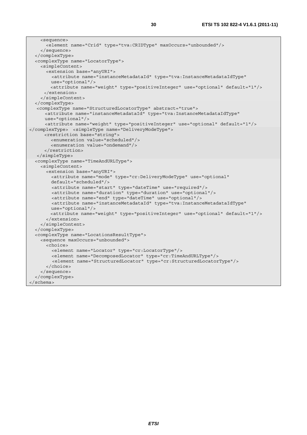```
 <sequence> 
       <element name="Crid" type="tva:CRIDType" maxOccurs="unbounded"/> 
     </sequence> 
   </complexType> 
   <complexType name="LocatorType"> 
     <simpleContent> 
       <extension base="anyURI"> 
         <attribute name="instanceMetadataId" type="tva:InstanceMetadataIdType" 
         use="optional"/> 
         <attribute name="weight" type="positiveInteger" use="optional" default="1"/> 
      </extension> 
     </simpleContent> 
   </complexType> 
  <complexType name="StructuredLocatorType" abstract="true"> 
       <attribute name="instanceMetadataId" type="tva:InstanceMetadataIdType" 
      use="optional"/> 
       <attribute name="weight" type="positiveInteger" use="optional" default="1"/> 
</complexType> <simpleType name="DeliveryModeType"> 
      <restriction base="string"> 
         <enumeration value="scheduled"/> 
         <enumeration value="ondemand"/> 
      </restriction> 
   </simpleType> 
   <complexType name="TimeAndURLType"> 
     <simpleContent> 
       <extension base="anyURI"> 
         <attribute name="mode" type="cr:DeliveryModeType" use="optional" 
         default="scheduled"/> 
         <attribute name="start" type="dateTime" use="required"/> 
         <attribute name="duration" type="duration" use="optional"/> 
         <attribute name="end" type="dateTime" use="optional"/> 
         <attribute name="instanceMetadataId" type="tva:InstanceMetadataIdType" 
         use="optional"/> 
         <attribute name="weight" type="positiveInteger" use="optional" default="1"/> 
       </extension> 
     </simpleContent> 
   </complexType> 
   <complexType name="LocationsResultType"> 
     <sequence maxOccurs="unbounded"> 
       <choice> 
         <element name="Locator" type="cr:LocatorType"/> 
         <element name="DecomposedLocator" type="cr:TimeAndURLType"/> 
         <element name="StructuredLocator" type="cr:StructuredLocatorType"/> 
       </choice> 
     </sequence> 
   </complexType> 
</schema>
```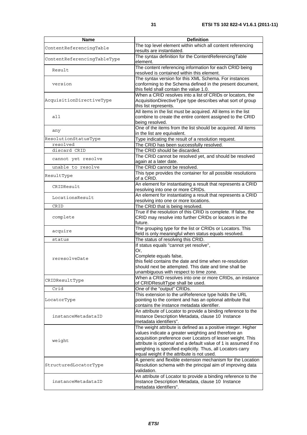| Name                        | <b>Definition</b>                                                                                                                                                                                                                                                                                                                                                    |
|-----------------------------|----------------------------------------------------------------------------------------------------------------------------------------------------------------------------------------------------------------------------------------------------------------------------------------------------------------------------------------------------------------------|
| ContentReferencingTable     | The top level element within which all content referencing<br>results are instantiated.                                                                                                                                                                                                                                                                              |
| ContentReferencingTableType | The syntax definition for the ContentReferencingTable<br>element.                                                                                                                                                                                                                                                                                                    |
| Result                      | The content referencing information for each CRID being<br>resolved is contained within this element.                                                                                                                                                                                                                                                                |
| version                     | The syntax version for this XML Schema. For instances<br>conforming to the Schema defined in the present document,<br>this field shall contain the value 1.0.                                                                                                                                                                                                        |
| AcquisitionDirectiveType    | When a CRID resolves into a list of CRIDs or locators, the<br>AcquisitionDirectiveType type describes what sort of group<br>this list represents.                                                                                                                                                                                                                    |
| all                         | All items in the list must be acquired. All items in the list<br>combine to create the entire content assigned to the CRID<br>being resolved.                                                                                                                                                                                                                        |
| any                         | One of the items from the list should be acquired. All items<br>in the list are equivalent.                                                                                                                                                                                                                                                                          |
| ResolutionStatusType        | Type indicating the result of a resolution request.                                                                                                                                                                                                                                                                                                                  |
| resolved                    | The CRID has been successfully resolved.                                                                                                                                                                                                                                                                                                                             |
| discard CRID                | The CRID should be discarded.                                                                                                                                                                                                                                                                                                                                        |
| cannot yet resolve          | The CRID cannot be resolved yet, and should be resolved                                                                                                                                                                                                                                                                                                              |
|                             | again at a later date.                                                                                                                                                                                                                                                                                                                                               |
| unable to resolve           | The CRID cannot be resolved.                                                                                                                                                                                                                                                                                                                                         |
| ResultType                  | This type provides the container for all possible resolutions<br>of a CRID.                                                                                                                                                                                                                                                                                          |
| CRIDResult                  | An element for instantiating a result that represents a CRID                                                                                                                                                                                                                                                                                                         |
|                             | resolving into one or more CRIDs.                                                                                                                                                                                                                                                                                                                                    |
| LocationsResult             | An element for instantiating a result that represents a CRID<br>resolving into one or more locations.                                                                                                                                                                                                                                                                |
| CRID                        | The CRID that is being resolved.                                                                                                                                                                                                                                                                                                                                     |
|                             | True if the resolution of this CRID is complete. If false, the                                                                                                                                                                                                                                                                                                       |
| complete                    | CRID may resolve into further CRIDs or locators in the<br>future.                                                                                                                                                                                                                                                                                                    |
| acquire                     | The grouping type for the list or CRIDs or Locators. This<br>field is only meaningful when status equals resolved.                                                                                                                                                                                                                                                   |
| status                      | The status of resolving this CRID.                                                                                                                                                                                                                                                                                                                                   |
| reresolveDate               | If status equals "cannot yet resolve",<br>Or,<br>Complete equals false,<br>this field contains the date and time when re-resolution<br>should next be attempted. This date and time shall be<br>unambiguous with respect to time zone.                                                                                                                               |
| CRIDResultType              | When a CRID resolves into one or more CRIDs, an instance<br>of CRIDResultType shall be used.                                                                                                                                                                                                                                                                         |
| Crid                        | One of the "output" CRIDs.                                                                                                                                                                                                                                                                                                                                           |
| LocatorType                 | This extension to the uriReference type holds the URL<br>pointing to the content and has an optional attribute that<br>contains the instance metadata identifier.                                                                                                                                                                                                    |
| instanceMetadataID          | An attribute of Locator to provide a binding reference to the<br>Instance Description Metadata, clause 10 Instance<br>metadata identifiers".                                                                                                                                                                                                                         |
| weight                      | The weight attribute is defined as a positive integer. Higher<br>values indicate a greater weighting and therefore an<br>acquisition preference over Locators of lesser weight. This<br>attribute is optional and a default value of 1 is assumed if no<br>weighting is specified explicitly. Thus, all Locators carry<br>equal weight if the attribute is not used. |
| StructuredLocatorType       | A generic and flexible extension mechanism for the Location<br>Resolution schema with the principal aim of improving data<br>validation.                                                                                                                                                                                                                             |
| instanceMetadataID          | An attribute of Locator to provide a binding reference to the<br>Instance Description Metadata, clause 10 Instance<br>metadata identifiers".                                                                                                                                                                                                                         |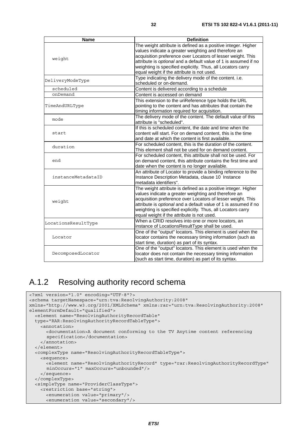| <b>Name</b>         | <b>Definition</b>                                               |
|---------------------|-----------------------------------------------------------------|
|                     | The weight attribute is defined as a positive integer. Higher   |
|                     | values indicate a greater weighting and therefore an            |
|                     | acquisition preference over Locators of lesser weight. This     |
| weight              | attribute is optional and a default value of 1 is assumed if no |
|                     | weighting is specified explicitly. Thus, all Locators carry     |
|                     | equal weight if the attribute is not used.                      |
|                     | Type indicating the delivery mode of the content. i.e.          |
| DeliveryModeType    | scheduled or on-demand.                                         |
| scheduled           | Content is delivered according to a schedule                    |
| onDemand            | Content is accessed on demand                                   |
|                     | This extension to the uriReference type holds the URL           |
| TimeAndURLType      | pointing to the content and has attributes that contain the     |
|                     | timing information required for acquisition.                    |
| mode                | The delivery mode of the content. The default value of this     |
|                     | attribute is "scheduled".                                       |
|                     | If this is scheduled content, the date and time when the        |
| start               | content will start. For on demand content, this is the time     |
|                     | and date at which the content is first available.               |
| duration            | For scheduled content, this is the duration of the content.     |
|                     | This element shall not be used for on demand content.           |
|                     | For scheduled content, this attribute shall not be used. For    |
| end                 | on demand content, this attribute contains the first time and   |
|                     | date when the content is no longer available.                   |
|                     | An attribute of Locator to provide a binding reference to the   |
| instanceMetadataID  | Instance Description Metadata, clause 10 Instance               |
|                     | metadata identifiers".                                          |
|                     | The weight attribute is defined as a positive integer. Higher   |
|                     | values indicate a greater weighting and therefore an            |
| weight              | acquisition preference over Locators of lesser weight. This     |
|                     | attribute is optional and a default value of 1 is assumed if no |
|                     | weighting is specified explicitly. Thus, all Locators carry     |
|                     | equal weight if the attribute is not used.                      |
| LocationsResultType | When a CRID resolves into one or more locators, an              |
|                     | instance of LocationsResultType shall be used.                  |
|                     | One of the "output" locators. This element is used when the     |
| Locator             | locator contains the necessary timing information (such as      |
|                     | start time, duration) as part of its syntax.                    |
|                     | One of the "output" locators. This element is used when the     |
| DecomposedLocator   | locator does not contain the necessary timing information       |
|                     | (such as start time, duration) as part of its syntax.           |

## A.1.2 Resolving authority record schema

```
<?xml version="1.0" encoding="UTF-8"?> 
<schema targetNamespace="urn:tva:ResolvingAuthority:2008" 
xmlns="http://www.w3.org/2001/XMLSchema" xmlns:rar="urn:tva:ResolvingAuthority:2008" 
elementFormDefault="qualified"> 
   <element name="ResolvingAuthorityRecordTable" 
   type="RAR:ResolvingAuthorityRecordTableType"> 
     <annotation> 
       <documentation>A document conforming to the TV Anytime content referencing 
       specification</documentation> 
     </annotation> 
   </element> 
   <complexType name="ResolvingAuthorityRecordTableType"> 
     <sequence> 
       <element name="ResolvingAuthorityRecord" type="rar:ResolvingAuthorityRecordType" 
       minOccurs="1" maxOccurs="unbounded"/> 
     </sequence> 
   </complexType> 
   <simpleType name="ProviderClassType"> 
     <restriction base="string"> 
       <enumeration value="primary"/> 
       <enumeration value="secondary"/>
```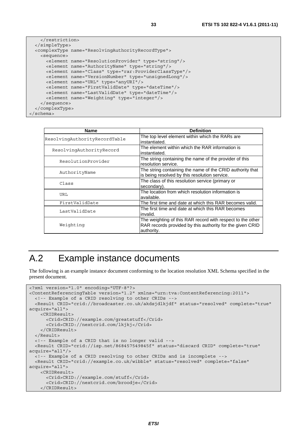```
 </restriction> 
   </simpleType> 
   <complexType name="ResolvingAuthorityRecordType"> 
     <sequence> 
       <element name="ResolutionProvider" type="string"/> 
       <element name="AuthorityName" type="string"/> 
       <element name="Class" type="rar:ProviderClassType"/> 
       <element name="VersionNumber" type="unsignedLong"/> 
       <element name="URL" type="anyURI"/> 
       <element name="FirstValidDate" type="dateTime"/> 
       <element name="LastValidDate" type="dateTime"/> 
       <element name="Weighting" type="integer"/> 
     </sequence> 
   </complexType> 
</schema>
```

| <b>Name</b>                   | <b>Definition</b>                                                                                                                     |
|-------------------------------|---------------------------------------------------------------------------------------------------------------------------------------|
| ResolvingAuthorityRecordTable | The top level element within which the RARs are<br>instantiated.                                                                      |
| ResolvingAuthorityRecord      | The element within which the RAR information is<br>instantiated.                                                                      |
| ResolutionProvider            | The string containing the name of the provider of this<br>resolution service.                                                         |
| AuthorityName                 | The string containing the name of the CRID authority that<br>is being resolved by this resolution service.                            |
| Class                         | The class of this resolution service (primary or<br>secondary).                                                                       |
| URL                           | The location from which resolution information is<br>available.                                                                       |
| FirstValidDate                | The first time and date at which this RAR becomes valid.                                                                              |
| LastValidDate                 | The first time and date at which this RAR becomes<br>linvalid.                                                                        |
| Weighting                     | The weighting of this RAR record with respect to the other<br>RAR records provided by this authority for the given CRID<br>authority. |

## A.2 Example instance documents

The following is an example instance document conforming to the location resolution XML Schema specified in the present document.

```
<?xml version="1.0" encoding="UTF-8"?> 
<ContentReferencingTable version="1.2" xmlns="urn:tva:ContentReferencing:2011"> 
   <!-- Example of a CRID resolving to other CRIDs --> 
   <Result CRID="crid://broadcaster.co.uk/akdsjdlkjdf" status="resolved" complete="true" 
acquire="all"> 
     <CRIDResult> 
       <Crid>CRID://example.com/greatstuff</Crid> 
       <Crid>CRID://nextcrid.com/lkjkj</Crid> 
     </CRIDResult> 
   </Result> 
   <!-- Example of a CRID that is no longer valid --> 
   <Result CRID="crid://isp.net/868457549845f" status="discard CRID" complete="true" 
acquire="all"/> 
   <!-- Example of a CRID resolving to other CRIDs and is incomplete --> 
  <Result CRID="crid://example.co.uk/wibble" status="resolved" complete="false" 
acquire="all"> 
     <CRIDResult> 
       <Crid>CRID://example.com/stuff</Crid> 
       <Crid>CRID://nextcrid.com/broodje</Crid> 
     </CRIDResult>
```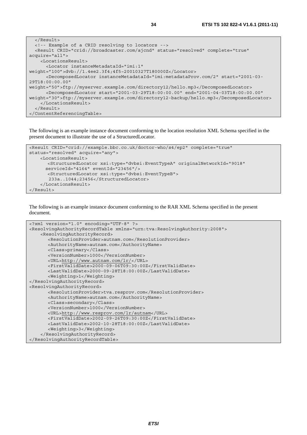```
 </Result> 
   <!-- Example of a CRID resolving to locators --> 
   <Result CRID="crid://broadcaster.com/ajcnd" status="resolved" complete="true" 
acquire="all"> 
     <LocationsResult> 
       <Locator instanceMetadataId="imi:1" 
weight="100">dvb://1.4ee2.3f4;4f5~20010327T180000Z</Locator> 
       <DecomposedLocator instanceMetadataId="imi:metadataProv.com/2" start="2001-03-
29T18:00:00.00" 
weight="50">ftp://myserver.example.com/directory12/hello.mp3</DecomposedLocator> 
       <DecomposedLocator start="2001-03-29T18:00:00.00" end="2001-04-03T18:00:00.00" 
weight="30">ftp://myserver.example.com/directory12-backup/hello.mp3</DecomposedLocator> 
     </LocationsResult> 
   </Result> 
</ContentReferencingTable>
```
The following is an example instance document conforming to the location resolution XML Schema specified in the present document to illustrate the use of a StructuredLocator.

```
<Result CRID="crid://example.bbc.co.uk/doctor-who/s4/ep2" complete="true" 
status="resolved" acquire="any"> 
     <LocationsResult> 
       <StructuredLocator xsi:type="dvbsi:EventTypeA" originalNetworkId="9018" 
       serviceId="4164" eventId="23456"/> 
       <StructuredLocator xsi:type="dvbsi:EventTypeB"> 
        233a..1044;23456</StructuredLocator> 
     </LocationsResult> 
</Result>
```
The following is an example instance document conforming to the RAR XML Schema specified in the present document.

```
<?xml version="1.0" encoding="UTF-8" ?> 
<ResolvingAuthorityRecordTable xmlns="urn:tva:ResolvingAuthority:2008"> 
     <ResolvingAuthorityRecord> 
      <ResolutionProvider>autnam.com</ResolutionProvider> 
      <AuthorityName>autnam.com</AuthorityName> 
      <Class>primary</Class> 
      <VersionNumber>1000</VersionNumber> 
      <URL>http://www.autnam.com/lr/</URL> 
      <FirstValidDate>2000-09-06T09:30:00Z</FirstValidDate> 
      <LastValidDate>2000-09-28T18:00:00Z</LastValidDate> 
      <Weighting>1</Weighting> 
</ResolvingAuthorityRecord> 
<ResolvingAuthorityRecord> 
      <ResolutionProvider>tva.resprov.com</ResolutionProvider> 
      <AuthorityName>autnam.com</AuthorityName> 
      <Class>secondary</Class> 
      <VersionNumber>1000</VersionNumber> 
      <URL>http://www.resprov.com/lr/autnam</URL> 
      <FirstValidDate>2002-09-26T09:30:00Z</FirstValidDate> 
      <LastValidDate>2002-10-28T18:00:00Z</LastValidDate> 
      <Weighting>3</Weighting> 
     </ResolvingAuthorityRecord> 
</ResolvingAuthorityRecordTable>
```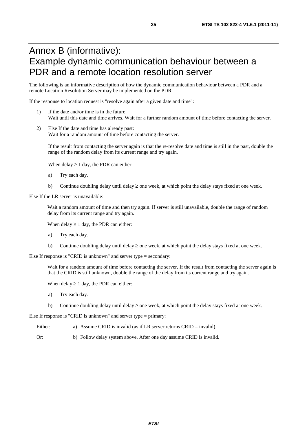## Annex B (informative): Example dynamic communication behaviour between a PDR and a remote location resolution server

The following is an informative description of how the dynamic communication behaviour between a PDR and a remote Location Resolution Server may be implemented on the PDR.

If the response to location request is "resolve again after a given date and time":

- 1) If the date and/or time is in the future: Wait until this date and time arrives. Wait for a further random amount of time before contacting the server.
- 2) Else If the date and time has already past: Wait for a random amount of time before contacting the server.

If the result from contacting the server again is that the re-resolve date and time is still in the past, double the range of the random delay from its current range and try again.

When delay  $\geq 1$  day, the PDR can either:

- a) Try each day.
- b) Continue doubling delay until delay  $\geq$  one week, at which point the delay stays fixed at one week.

Else If the LR server is unavailable:

Wait a random amount of time and then try again. If server is still unavailable, double the range of random delay from its current range and try again.

When delay  $\geq 1$  day, the PDR can either:

- a) Try each day.
- b) Continue doubling delay until delay  $\geq$  one week, at which point the delay stays fixed at one week.

Else If response is "CRID is unknown" and server type = secondary:

Wait for a random amount of time before contacting the server. If the result from contacting the server again is that the CRID is still unknown, double the range of the delay from its current range and try again.

When delay  $\geq 1$  day, the PDR can either:

- a) Try each day.
- b) Continue doubling delay until delay  $\geq$  one week, at which point the delay stays fixed at one week.

Else If response is "CRID is unknown" and server type = primary:

- Either: a) Assume CRID is invalid (as if LR server returns CRID = invalid).
- Or: b) Follow delay system above. After one day assume CRID is invalid.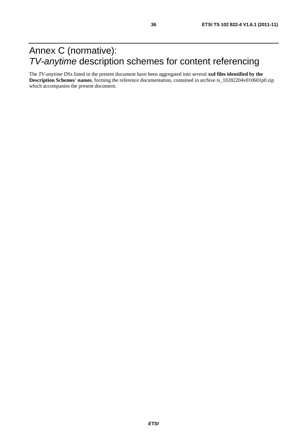## Annex C (normative): *TV-anytime* description schemes for content referencing

The *TV-anytime* DSs listed in the present document have been aggregated into several **xsd files identified by the Description Schemes' names**, forming the reference documentation, contained in archive ts\_10282204v010601p0.zip which accompanies the present document.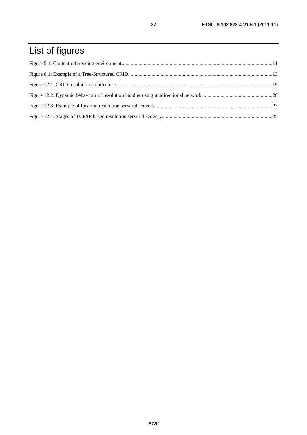## List of figures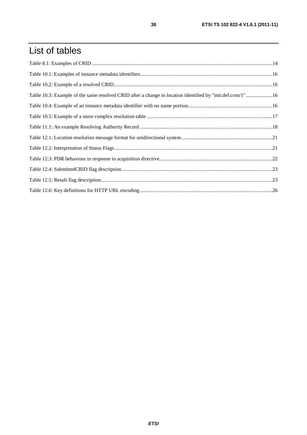## List of tables

| Table 10.3: Example of the same resolved CRID after a change in location identified by "imi:def.com/1" 16 |  |
|-----------------------------------------------------------------------------------------------------------|--|
|                                                                                                           |  |
|                                                                                                           |  |
|                                                                                                           |  |
|                                                                                                           |  |
|                                                                                                           |  |
|                                                                                                           |  |
|                                                                                                           |  |
|                                                                                                           |  |
|                                                                                                           |  |